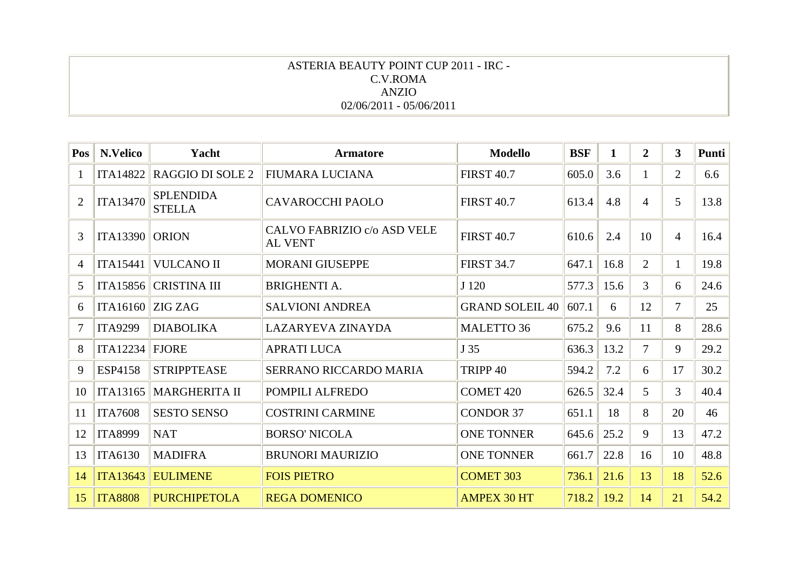### ASTERIA BEAUTY POINT CUP 2011 - IRC - C.V.ROMA ANZIO 02/06/2011 - 05/06/2011

| Pos            | N.Velico        | Yacht                             | <b>Armatore</b>                               | <b>Modello</b>         | <b>BSF</b> | 1    | $\overline{2}$ | 3              | Punti |
|----------------|-----------------|-----------------------------------|-----------------------------------------------|------------------------|------------|------|----------------|----------------|-------|
| 1              | <b>ITA14822</b> | RAGGIO DI SOLE 2                  | <b>FIUMARA LUCIANA</b>                        | <b>FIRST 40.7</b>      | 605.0      | 3.6  |                | 2              | 6.6   |
| $\overline{2}$ | <b>ITA13470</b> | <b>SPLENDIDA</b><br><b>STELLA</b> | <b>CAVAROCCHI PAOLO</b>                       | <b>FIRST 40.7</b>      | 613.4      | 4.8  | 4              | 5              | 13.8  |
| 3              | <b>ITA13390</b> | <b>ORION</b>                      | CALVO FABRIZIO c/o ASD VELE<br><b>AL VENT</b> | <b>FIRST 40.7</b>      | 610.6      | 2.4  | 10             | $\overline{4}$ | 16.4  |
| $\overline{4}$ | <b>ITA15441</b> | <b>VULCANO II</b>                 | <b>MORANI GIUSEPPE</b>                        | <b>FIRST 34.7</b>      | 647.1      | 16.8 | $\overline{2}$ | 1              | 19.8  |
| 5              | ITA15856        | <b>CRISTINA III</b>               | <b>BRIGHENTI A.</b>                           | J 120                  | 577.3      | 15.6 | 3              | 6              | 24.6  |
| 6              | <b>ITA16160</b> | <b>ZIG ZAG</b>                    | <b>SALVIONI ANDREA</b>                        | <b>GRAND SOLEIL 40</b> | 607.1      | 6    | 12             | 7              | 25    |
| $\overline{7}$ | <b>ITA9299</b>  | <b>DIABOLIKA</b>                  | <b>LAZARYEVA ZINAYDA</b>                      | <b>MALETTO 36</b>      | 675.2      | 9.6  | 11             | 8              | 28.6  |
| 8              | <b>ITA12234</b> | <b>FJORE</b>                      | <b>APRATI LUCA</b>                            | J 35                   | 636.3      | 13.2 | $\tau$         | 9              | 29.2  |
| 9              | <b>ESP4158</b>  | <b>STRIPPTEASE</b>                | SERRANO RICCARDO MARIA                        | TRIPP <sub>40</sub>    | 594.2      | 7.2  | 6              | 17             | 30.2  |
| 10             | <b>ITA13165</b> | <b>MARGHERITA II</b>              | POMPILI ALFREDO                               | <b>COMET 420</b>       | 626.5      | 32.4 | 5              | 3              | 40.4  |
| 11             | <b>ITA7608</b>  | <b>SESTO SENSO</b>                | <b>COSTRINI CARMINE</b>                       | <b>CONDOR 37</b>       | 651.1      | 18   | 8              | 20             | 46    |
| 12             | <b>ITA8999</b>  | <b>NAT</b>                        | <b>BORSO' NICOLA</b>                          | <b>ONE TONNER</b>      | 645.6      | 25.2 | 9              | 13             | 47.2  |
| 13             | <b>ITA6130</b>  | <b>MADIFRA</b>                    | <b>BRUNORI MAURIZIO</b>                       | <b>ONE TONNER</b>      | 661.7      | 22.8 | 16             | 10             | 48.8  |
| 14             | <b>ITA13643</b> | <b>EULIMENE</b>                   | <b>FOIS PIETRO</b>                            | <b>COMET 303</b>       | 736.1      | 21.6 | 13             | 18             | 52.6  |
| 15             | <b>ITA8808</b>  | <b>PURCHIPETOLA</b>               | <b>REGA DOMENICO</b>                          | <b>AMPEX 30 HT</b>     | 718.2      | 19.2 | 14             | 21             | 54.2  |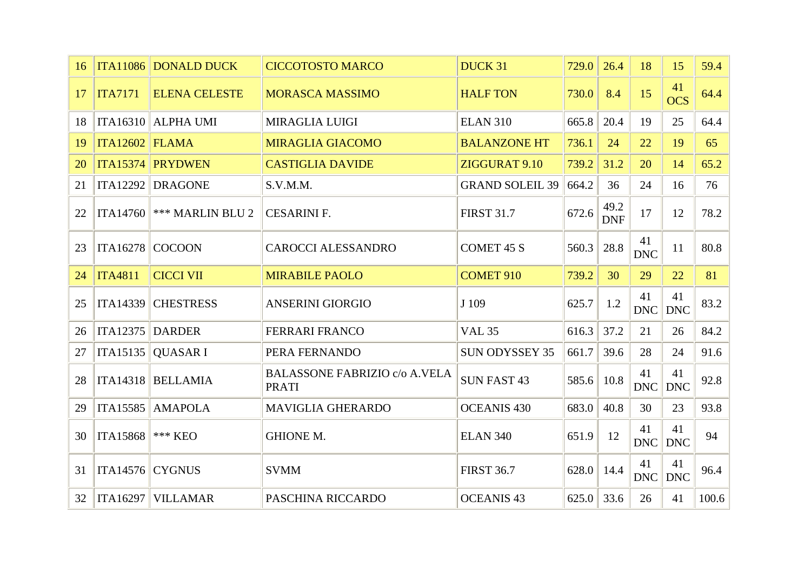| 16 |                   | ITA11086 DONALD DUCK           | <b>CICCOTOSTO MARCO</b>                              | <b>DUCK 31</b>         | 729.0 | 26.4               | 18               | 15               | 59.4  |
|----|-------------------|--------------------------------|------------------------------------------------------|------------------------|-------|--------------------|------------------|------------------|-------|
| 17 | <b>ITA7171</b>    | <b>ELENA CELESTE</b>           | <b>MORASCA MASSIMO</b>                               | <b>HALF TON</b>        | 730.0 | 8.4                | 15               | 41<br><b>OCS</b> | 64.4  |
| 18 |                   | ITA16310 ALPHA UMI             | <b>MIRAGLIA LUIGI</b>                                | <b>ELAN 310</b>        | 665.8 | 20.4               | 19               | 25               | 64.4  |
| 19 | $ITA12602$ FLAMA  |                                | <b>MIRAGLIA GIACOMO</b>                              | <b>BALANZONE HT</b>    | 736.1 | 24                 | 22               | 19               | 65    |
| 20 |                   | <b>ITA15374 PRYDWEN</b>        | <b>CASTIGLIA DAVIDE</b>                              | ZIGGURAT 9.10          | 739.2 | 31.2               | 20               | 14               | 65.2  |
| 21 |                   | ITA12292 DRAGONE               | S.V.M.M.                                             | <b>GRAND SOLEIL 39</b> | 664.2 | 36                 | 24               | 16               | 76    |
| 22 |                   | ITA14760 $\ $ *** MARLIN BLU 2 | <b>CESARINI F.</b>                                   | <b>FIRST 31.7</b>      | 672.6 | 49.2<br><b>DNF</b> | 17               | 12               | 78.2  |
| 23 | ITA16278 COCOON   |                                | <b>CAROCCI ALESSANDRO</b>                            | <b>COMET 45 S</b>      | 560.3 | 28.8               | 41<br><b>DNC</b> | 11               | 80.8  |
| 24 | <b>ITA4811</b>    | <b>CICCI VII</b>               | <b>MIRABILE PAOLO</b>                                | <b>COMET 910</b>       | 739.2 | 30                 | 29               | 22               | 81    |
| 25 |                   | ITA14339 CHESTRESS             | <b>ANSERINI GIORGIO</b>                              | J 109                  | 625.7 | 1.2                | 41<br><b>DNC</b> | 41<br><b>DNC</b> | 83.2  |
| 26 | ITA12375 DARDER   |                                | <b>FERRARI FRANCO</b>                                | <b>VAL 35</b>          | 616.3 | 37.2               | 21               | 26               | 84.2  |
| 27 |                   | ITA15135   QUASAR I            | PERA FERNANDO                                        | <b>SUN ODYSSEY 35</b>  | 661.7 | 39.6               | 28               | 24               | 91.6  |
| 28 | <b>ITA14318</b>   | BELLAMIA                       | <b>BALASSONE FABRIZIO c/o A.VELA</b><br><b>PRATI</b> | <b>SUN FAST 43</b>     | 585.6 | 10.8               | 41<br>DNC        | 41<br><b>DNC</b> | 92.8  |
| 29 |                   | ITA15585 AMAPOLA               | <b>MAVIGLIA GHERARDO</b>                             | <b>OCEANIS 430</b>     | 683.0 | 40.8               | 30               | 23               | 93.8  |
| 30 | <b>ITA15868</b>   | $***$ KEO                      | <b>GHIONE M.</b>                                     | <b>ELAN 340</b>        | 651.9 | 12                 | 41<br>DNC        | 41<br><b>DNC</b> | 94    |
| 31 | $ITA14576$ CYGNUS |                                | <b>SVMM</b>                                          | <b>FIRST 36.7</b>      | 628.0 | 14.4               | 41<br>DNC        | 41<br><b>DNC</b> | 96.4  |
| 32 |                   | ITA16297 VILLAMAR              | PASCHINA RICCARDO                                    | <b>OCEANIS 43</b>      | 625.0 | 33.6               | 26               | 41               | 100.6 |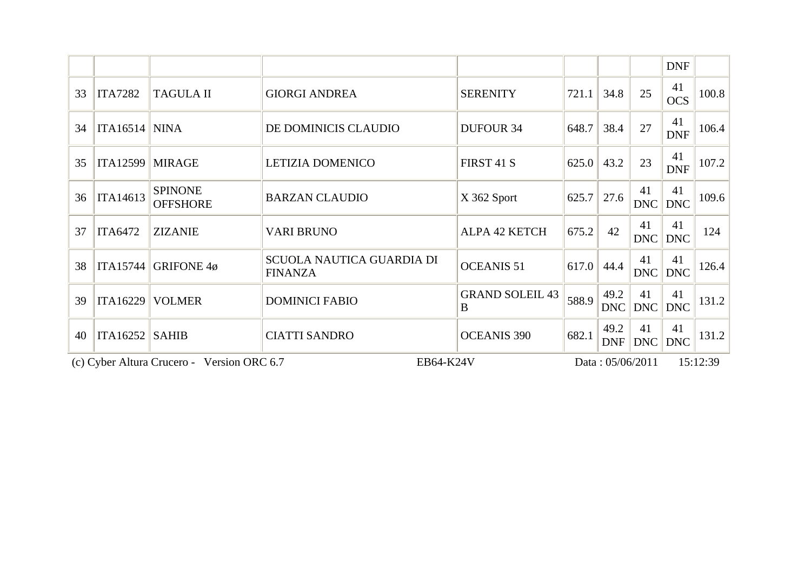|    |                                                         |                                   |                                                    |                             |       |                    |                  | <b>DNF</b>       |          |
|----|---------------------------------------------------------|-----------------------------------|----------------------------------------------------|-----------------------------|-------|--------------------|------------------|------------------|----------|
| 33 | <b>ITA7282</b>                                          | <b>TAGULA II</b>                  | <b>GIORGI ANDREA</b>                               | <b>SERENITY</b>             | 721.1 | 34.8               | 25               | 41<br><b>OCS</b> | 100.8    |
| 34 | $ITA16514$ NINA                                         |                                   | DE DOMINICIS CLAUDIO                               | <b>DUFOUR 34</b>            | 648.7 | 38.4               | 27               | 41<br><b>DNF</b> | 106.4    |
| 35 | <b>ITA12599</b>                                         | <b>MIRAGE</b>                     | LETIZIA DOMENICO                                   | FIRST 41 S                  | 625.0 | 43.2               | 23               | 41<br><b>DNF</b> | 107.2    |
| 36 | ITA14613                                                | <b>SPINONE</b><br><b>OFFSHORE</b> | <b>BARZAN CLAUDIO</b>                              | X 362 Sport                 | 625.7 | 27.6               | 41<br><b>DNC</b> | 41<br><b>DNC</b> | 109.6    |
| 37 | <b>ITA6472</b>                                          | <b>ZIZANIE</b>                    | <b>VARI BRUNO</b>                                  | <b>ALPA 42 KETCH</b>        | 675.2 | 42                 | 41<br>DNC        | 41<br><b>DNC</b> | 124      |
| 38 | <b>ITA15744</b>                                         | <b>GRIFONE 4ø</b>                 | <b>SCUOLA NAUTICA GUARDIA DI</b><br><b>FINANZA</b> | <b>OCEANIS 51</b>           | 617.0 | 44.4               | 41<br><b>DNC</b> | 41<br><b>DNC</b> | 126.4    |
| 39 | ITA16229                                                | <b>VOLMER</b>                     | <b>DOMINICI FABIO</b>                              | <b>GRAND SOLEIL 43</b><br>B | 588.9 | 49.2<br><b>DNC</b> | 41<br>DNC        | 41<br><b>DNC</b> | 131.2    |
| 40 | ITA16252                                                | <b>SAHIB</b>                      | <b>CIATTI SANDRO</b>                               | <b>OCEANIS 390</b>          | 682.1 | 49.2<br><b>DNF</b> | 41<br>DNC        | 41<br><b>DNC</b> | 131.2    |
|    | (c) Cyber Altura Crucero - Version ORC 6.7<br>EB64-K24V |                                   |                                                    |                             |       | Data: 05/06/2011   |                  |                  | 15:12:39 |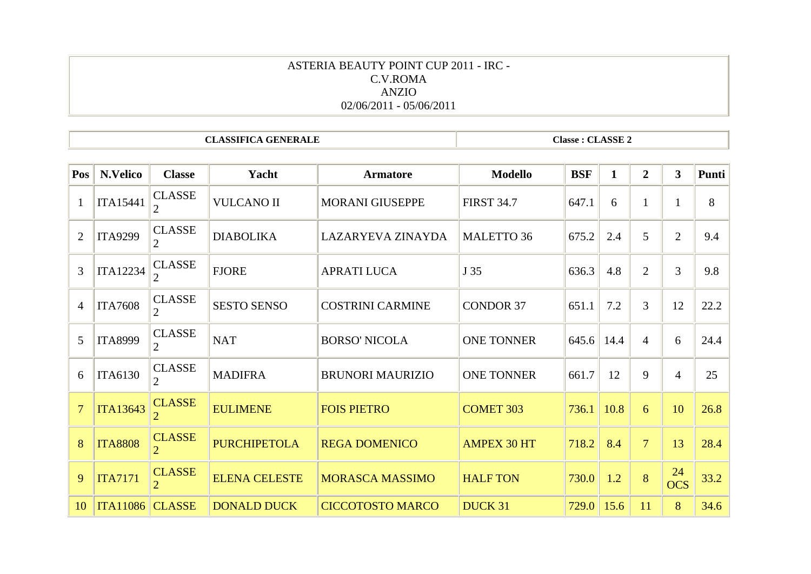### ASTERIA BEAUTY POINT CUP 2011 - IRC - C.V.ROMA ANZIO 02/06/2011 - 05/06/2011

**CLASSIFICA GENERALE** 

**Classe : CLASSE 2** 

| Pos            | N.Velico        | <b>Classe</b>                   | Yacht                | <b>Armatore</b>         | <b>Modello</b>     | <b>BSF</b> | $\mathbf{1}$ | $\overline{2}$ | $\mathbf{3}$     | Punti |
|----------------|-----------------|---------------------------------|----------------------|-------------------------|--------------------|------------|--------------|----------------|------------------|-------|
| $\mathbf{1}$   | <b>ITA15441</b> | <b>CLASSE</b>                   | <b>VULCANO II</b>    | <b>MORANI GIUSEPPE</b>  | <b>FIRST 34.7</b>  | 647.1      | 6            | 1              |                  | 8     |
| 2              | <b>ITA9299</b>  | <b>CLASSE</b><br>2              | <b>DIABOLIKA</b>     | LAZARYEVA ZINAYDA       | <b>MALETTO 36</b>  | 675.2      | 2.4          | 5              | $\overline{2}$   | 9.4   |
| 3              | <b>ITA12234</b> | <b>CLASSE</b>                   | <b>FJORE</b>         | <b>APRATI LUCA</b>      | J 35               | 636.3      | 4.8          | $\overline{2}$ | 3                | 9.8   |
| $\overline{4}$ | <b>ITA7608</b>  | <b>CLASSE</b><br>$\overline{2}$ | <b>SESTO SENSO</b>   | <b>COSTRINI CARMINE</b> | <b>CONDOR 37</b>   | 651.1      | 7.2          | 3              | 12               | 22.2  |
| $\overline{5}$ | <b>ITA8999</b>  | <b>CLASSE</b><br>$\overline{2}$ | <b>NAT</b>           | <b>BORSO' NICOLA</b>    | <b>ONE TONNER</b>  | 645.6      | 14.4         | $\overline{4}$ | 6                | 24.4  |
| 6              | <b>ITA6130</b>  | <b>CLASSE</b>                   | <b>MADIFRA</b>       | <b>BRUNORI MAURIZIO</b> | <b>ONE TONNER</b>  | 661.7      | 12           | 9              | $\overline{4}$   | 25    |
| $\overline{7}$ | <b>ITA13643</b> | <b>CLASSE</b>                   | <b>EULIMENE</b>      | <b>FOIS PIETRO</b>      | <b>COMET 303</b>   | 736.1      | 10.8         | 6              | 10               | 26.8  |
| 8              | <b>ITA8808</b>  | <b>CLASSE</b>                   | <b>PURCHIPETOLA</b>  | <b>REGA DOMENICO</b>    | <b>AMPEX 30 HT</b> | 718.2      | 8.4          | $\overline{7}$ | 13               | 28.4  |
| 9              | <b>ITA7171</b>  | <b>CLASSE</b>                   | <b>ELENA CELESTE</b> | <b>MORASCA MASSIMO</b>  | <b>HALF TON</b>    | 730.0      | 1.2          | 8              | 24<br><b>OCS</b> | 33.2  |
| 10             | <b>ITA11086</b> | <b>CLASSE</b>                   | <b>DONALD DUCK</b>   | <b>CICCOTOSTO MARCO</b> | DUCK 31            | 729.0      | 15.6         | 11             | 8                | 34.6  |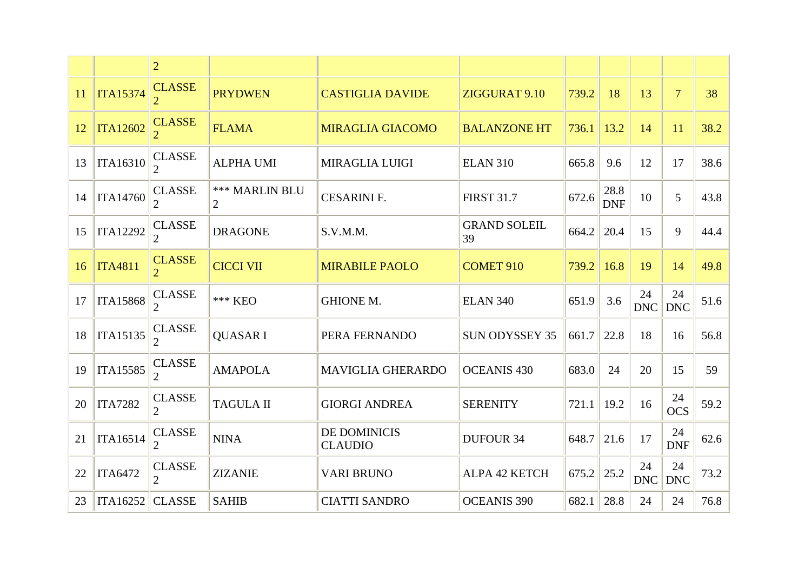|    |                 | $\overline{2}$                  |                            |                                       |                           |       |                    |                  |                  |      |
|----|-----------------|---------------------------------|----------------------------|---------------------------------------|---------------------------|-------|--------------------|------------------|------------------|------|
| 11 | <b>ITA15374</b> | <b>CLASSE</b>                   | <b>PRYDWEN</b>             | <b>CASTIGLIA DAVIDE</b>               | ZIGGURAT 9.10             | 739.2 | 18                 | 13               | $\overline{7}$   | 38   |
| 12 | <b>ITA12602</b> | <b>CLASSE</b>                   | <b>FLAMA</b>               | <b>MIRAGLIA GIACOMO</b>               | <b>BALANZONE HT</b>       | 736.1 | 13.2               | 14               | 11               | 38.2 |
| 13 | <b>ITA16310</b> | <b>CLASSE</b>                   | <b>ALPHA UMI</b>           | <b>MIRAGLIA LUIGI</b>                 | <b>ELAN 310</b>           | 665.8 | 9.6                | 12               | 17               | 38.6 |
| 14 | <b>ITA14760</b> | <b>CLASSE</b>                   | <b>*** MARLIN BLU</b><br>2 | <b>CESARINI F.</b>                    | <b>FIRST 31.7</b>         | 672.6 | 28.8<br><b>DNF</b> | 10               | 5                | 43.8 |
| 15 | <b>ITA12292</b> | <b>CLASSE</b>                   | <b>DRAGONE</b>             | S.V.M.M.                              | <b>GRAND SOLEIL</b><br>39 | 664.2 | 20.4               | 15               | 9                | 44.4 |
| 16 | <b>ITA4811</b>  | <b>CLASSE</b>                   | <b>CICCI VII</b>           | <b>MIRABILE PAOLO</b>                 | <b>COMET 910</b>          | 739.2 | 16.8               | 19               | 14               | 49.8 |
|    |                 |                                 |                            |                                       |                           |       |                    |                  |                  |      |
| 17 | <b>ITA15868</b> | <b>CLASSE</b><br>$\overline{2}$ | *** KEO                    | <b>GHIONE M.</b>                      | <b>ELAN 340</b>           | 651.9 | 3.6                | 24<br><b>DNC</b> | 24<br><b>DNC</b> | 51.6 |
| 18 | <b>ITA15135</b> | <b>CLASSE</b><br>2              | <b>QUASARI</b>             | PERA FERNANDO                         | <b>SUN ODYSSEY 35</b>     | 661.7 | 22.8               | 18               | 16               | 56.8 |
| 19 | <b>ITA15585</b> | <b>CLASSE</b><br>$\overline{2}$ | <b>AMAPOLA</b>             | <b>MAVIGLIA GHERARDO</b>              | <b>OCEANIS 430</b>        | 683.0 | 24                 | 20               | 15               | 59   |
| 20 | <b>ITA7282</b>  | <b>CLASSE</b><br>$\overline{2}$ | <b>TAGULA II</b>           | <b>GIORGI ANDREA</b>                  | <b>SERENITY</b>           | 721.1 | 19.2               | 16               | 24<br><b>OCS</b> | 59.2 |
| 21 | <b>ITA16514</b> | <b>CLASSE</b><br>$\overline{2}$ | <b>NINA</b>                | <b>DE DOMINICIS</b><br><b>CLAUDIO</b> | <b>DUFOUR 34</b>          | 648.7 | 21.6               | 17               | 24<br><b>DNF</b> | 62.6 |
| 22 | <b>ITA6472</b>  | <b>CLASSE</b><br>$\overline{2}$ | <b>ZIZANIE</b>             | <b>VARI BRUNO</b>                     | ALPA 42 KETCH             | 675.2 | 25.2               | 24<br><b>DNC</b> | 24<br><b>DNC</b> | 73.2 |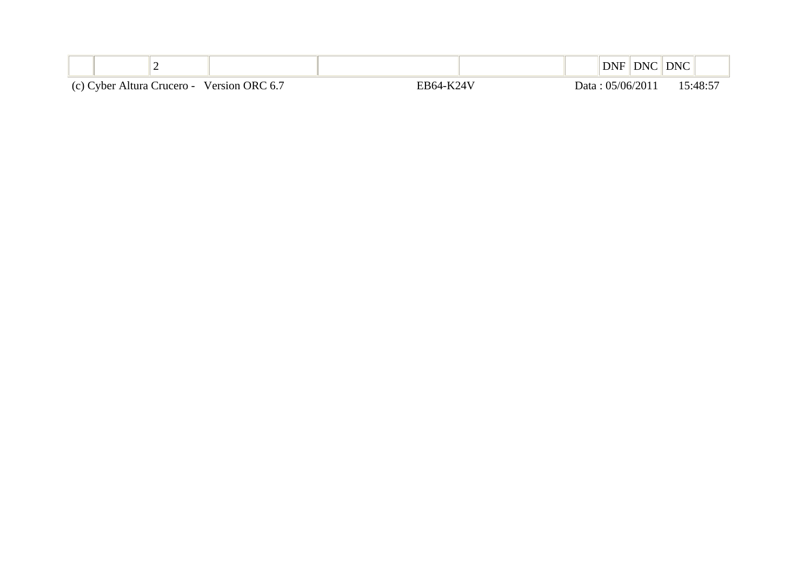| <u>_</u>                                   |           | DNF              | DNC | <b>DNC</b> |
|--------------------------------------------|-----------|------------------|-----|------------|
| (c) Cyber Altura Crucero - Version ORC 6.7 | EB64-K24V | Data: 05/06/2011 |     | 15:48:57   |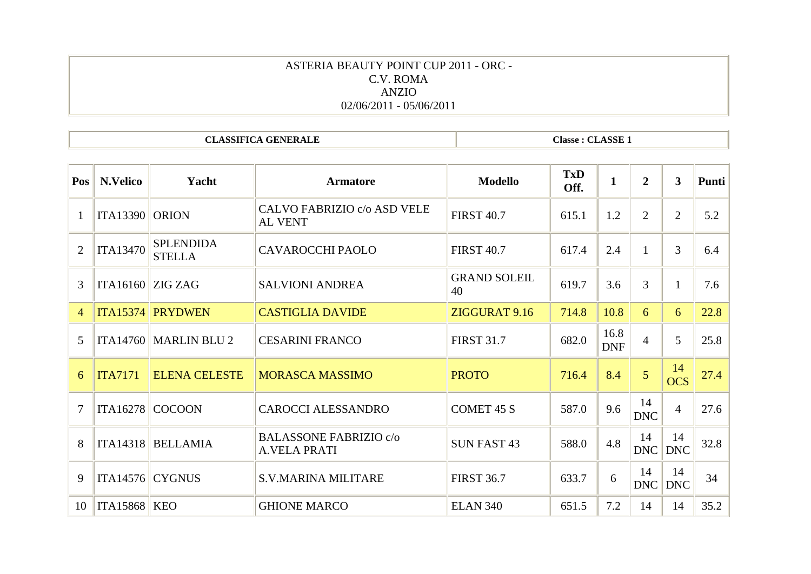# ASTERIA BEAUTY POINT CUP 2011 - ORC - C.V. ROMA ANZIO 02/06/2011 - 05/06/2011

**CLASSIFICA GENERALE** 

**Classe: CLASSE 1** 

| Pos             | N.Velico            | Yacht                             | <b>Armatore</b>                                      | <b>Modello</b>            | <b>TxD</b><br>Off. | $\mathbf{1}$       | $\overline{2}$   | $\overline{\mathbf{3}}$ | Punti |
|-----------------|---------------------|-----------------------------------|------------------------------------------------------|---------------------------|--------------------|--------------------|------------------|-------------------------|-------|
|                 | <b>ITA13390</b>     | <b>ORION</b>                      | CALVO FABRIZIO c/o ASD VELE<br><b>AL VENT</b>        | <b>FIRST 40.7</b>         | 615.1              | 1.2                | $\overline{2}$   | $\overline{2}$          | 5.2   |
| $\overline{2}$  | <b>ITA13470</b>     | <b>SPLENDIDA</b><br><b>STELLA</b> | <b>CAVAROCCHI PAOLO</b>                              | <b>FIRST 40.7</b>         | 617.4              | 2.4                |                  | 3                       | 6.4   |
| 3               | ITA16160            | ZIG ZAG                           | <b>SALVIONI ANDREA</b>                               | <b>GRAND SOLEIL</b><br>40 | 619.7              | 3.6                | 3                | 1                       | 7.6   |
| 4               | <b>ITA15374</b>     | <b>PRYDWEN</b>                    | <b>CASTIGLIA DAVIDE</b>                              | ZIGGURAT 9.16             | 714.8              | 10.8               | 6                | 6                       | 22.8  |
| $5\overline{)}$ | <b>ITA14760</b>     | <b>MARLIN BLU 2</b>               | <b>CESARINI FRANCO</b>                               | <b>FIRST 31.7</b>         | 682.0              | 16.8<br><b>DNF</b> | $\overline{4}$   | 5                       | 25.8  |
| 6               | <b>ITA7171</b>      | <b>ELENA CELESTE</b>              | <b>MORASCA MASSIMO</b>                               | <b>PROTO</b>              | 716.4              | 8.4                | $\overline{5}$   | 14<br><b>OCS</b>        | 27.4  |
| $\overline{7}$  | <b>ITA16278</b>     | <b>COCOON</b>                     | <b>CAROCCI ALESSANDRO</b>                            | <b>COMET 45 S</b>         | 587.0              | 9.6                | 14<br><b>DNC</b> | $\overline{4}$          | 27.6  |
| 8               | <b>ITA14318</b>     | <b>BELLAMIA</b>                   | <b>BALASSONE FABRIZIO c/o</b><br><b>A.VELA PRATI</b> | <b>SUN FAST 43</b>        | 588.0              | 4.8                | 14<br><b>DNC</b> | 14<br><b>DNC</b>        | 32.8  |
| 9               | <b>ITA14576</b>     | <b>CYGNUS</b>                     | <b>S.V.MARINA MILITARE</b>                           | <b>FIRST 36.7</b>         | 633.7              | 6                  | 14<br>DNC        | 14<br><b>DNC</b>        | 34    |
| 10              | <b>ITA15868 KEO</b> |                                   | <b>GHIONE MARCO</b>                                  | <b>ELAN 340</b>           | 651.5              | 7.2                | 14               | 14                      | 35.2  |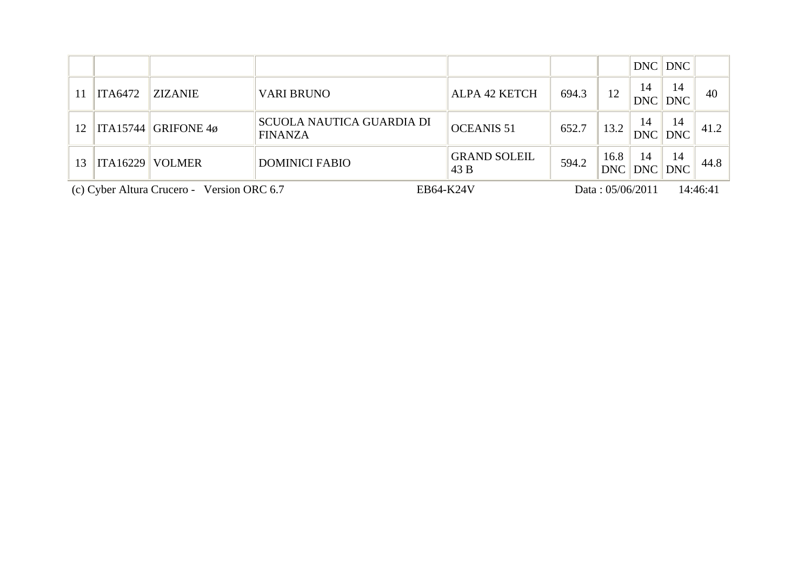|    |                                            |                          |                                                    |                             |       |                    |                  | DNC DNC          |          |
|----|--------------------------------------------|--------------------------|----------------------------------------------------|-----------------------------|-------|--------------------|------------------|------------------|----------|
|    | <b>ITA6472</b>                             | <b>ZIZANIE</b>           | <b>VARI BRUNO</b>                                  | ALPA 42 KETCH               | 694.3 | 12                 | 14<br><b>DNC</b> | 14<br><b>DNC</b> | 40       |
| 12 |                                            | $\ $ ITA15744 GRIFONE 4ø | <b>SCUOLA NAUTICA GUARDIA DI</b><br><b>FINANZA</b> | <b>OCEANIS 51</b>           | 652.7 | 13.2               | 14<br><b>DNC</b> | 14<br><b>DNC</b> | 41.2     |
| 13 |                                            | ITA16229 VOLMER          | <b>DOMINICI FABIO</b>                              | <b>GRAND SOLEIL</b><br>43 B | 594.2 | 16.8<br><b>DNC</b> | 14<br>DNC        | 14<br><b>DNC</b> | 44.8     |
|    | (c) Cyber Altura Crucero - Version ORC 6.7 |                          |                                                    | EB64-K24V                   |       | Data: 05/06/2011   |                  |                  | 14:46:41 |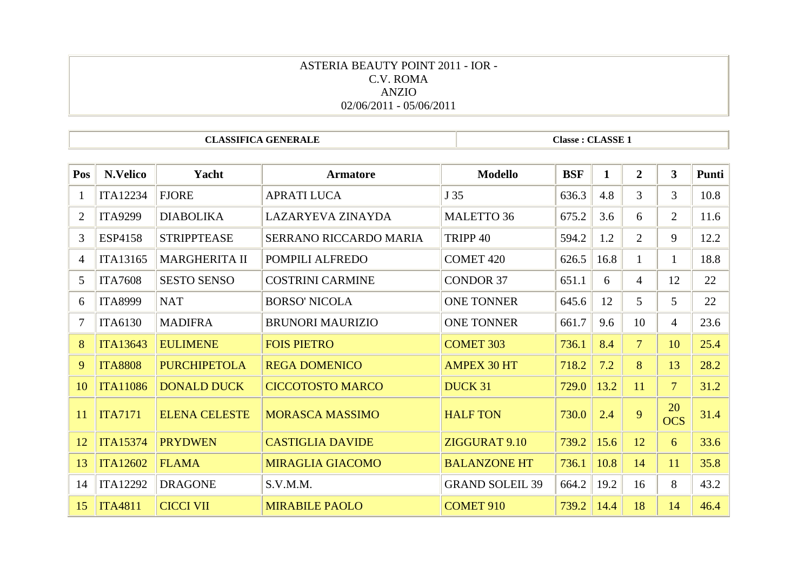### ASTERIA BEAUTY POINT 2011 - IOR - C.V. ROMA ANZIO 02/06/2011 - 05/06/2011

**CLASSIFICA GENERALE** 

**Classe: CLASSE 1** 

| Pos | N.Velico        | Yacht                | <b>Armatore</b>          | <b>Modello</b>         | <b>BSF</b> | 1    | $\overline{2}$ | 3                | Punti |
|-----|-----------------|----------------------|--------------------------|------------------------|------------|------|----------------|------------------|-------|
| 1   | <b>ITA12234</b> | <b>FJORE</b>         | <b>APRATI LUCA</b>       | J 35                   | 636.3      | 4.8  | $\mathfrak{Z}$ | 3                | 10.8  |
| 2   | <b>ITA9299</b>  | <b>DIABOLIKA</b>     | <b>LAZARYEVA ZINAYDA</b> | MALETTO 36             | 675.2      | 3.6  | 6              | $\overline{2}$   | 11.6  |
| 3   | <b>ESP4158</b>  | <b>STRIPPTEASE</b>   | SERRANO RICCARDO MARIA   | TRIPP <sub>40</sub>    | 594.2      | 1.2  | $\overline{2}$ | 9                | 12.2  |
| 4   | <b>ITA13165</b> | <b>MARGHERITA II</b> | POMPILI ALFREDO          | <b>COMET 420</b>       | 626.5      | 16.8 | $\mathbf{1}$   | $\mathbf{1}$     | 18.8  |
| 5   | <b>ITA7608</b>  | <b>SESTO SENSO</b>   | <b>COSTRINI CARMINE</b>  | <b>CONDOR 37</b>       | 651.1      | 6    | $\overline{4}$ | 12               | 22    |
| 6   | <b>ITA8999</b>  | <b>NAT</b>           | <b>BORSO' NICOLA</b>     | <b>ONE TONNER</b>      | 645.6      | 12   | 5              | 5                | 22    |
| 7   | <b>ITA6130</b>  | <b>MADIFRA</b>       | <b>BRUNORI MAURIZIO</b>  | <b>ONE TONNER</b>      | 661.7      | 9.6  | 10             | $\overline{4}$   | 23.6  |
| 8   | <b>ITA13643</b> | <b>EULIMENE</b>      | <b>FOIS PIETRO</b>       | <b>COMET 303</b>       | 736.1      | 8.4  | $\overline{7}$ | 10               | 25.4  |
| 9   | <b>ITA8808</b>  | <b>PURCHIPETOLA</b>  | <b>REGA DOMENICO</b>     | <b>AMPEX 30 HT</b>     | 718.2      | 7.2  | 8              | 13               | 28.2  |
| 10  | <b>ITA11086</b> | <b>DONALD DUCK</b>   | <b>CICCOTOSTO MARCO</b>  | DUCK 31                | 729.0      | 13.2 | 11             | $\overline{7}$   | 31.2  |
| 11  | <b>ITA7171</b>  | <b>ELENA CELESTE</b> | <b>MORASCA MASSIMO</b>   | <b>HALF TON</b>        | 730.0      | 2.4  | 9              | 20<br><b>OCS</b> | 31.4  |
| 12  | <b>ITA15374</b> | <b>PRYDWEN</b>       | <b>CASTIGLIA DAVIDE</b>  | ZIGGURAT 9.10          | 739.2      | 15.6 | 12             | 6                | 33.6  |
| 13  | <b>ITA12602</b> | <b>FLAMA</b>         | <b>MIRAGLIA GIACOMO</b>  | <b>BALANZONE HT</b>    | 736.1      | 10.8 | 14             | 11               | 35.8  |
| 14  | <b>ITA12292</b> | <b>DRAGONE</b>       | S.V.M.M.                 | <b>GRAND SOLEIL 39</b> | 664.2      | 19.2 | 16             | 8                | 43.2  |
| 15  | <b>ITA4811</b>  | <b>CICCI VII</b>     | <b>MIRABILE PAOLO</b>    | <b>COMET 910</b>       | 739.2      | 14.4 | 18             | 14               | 46.4  |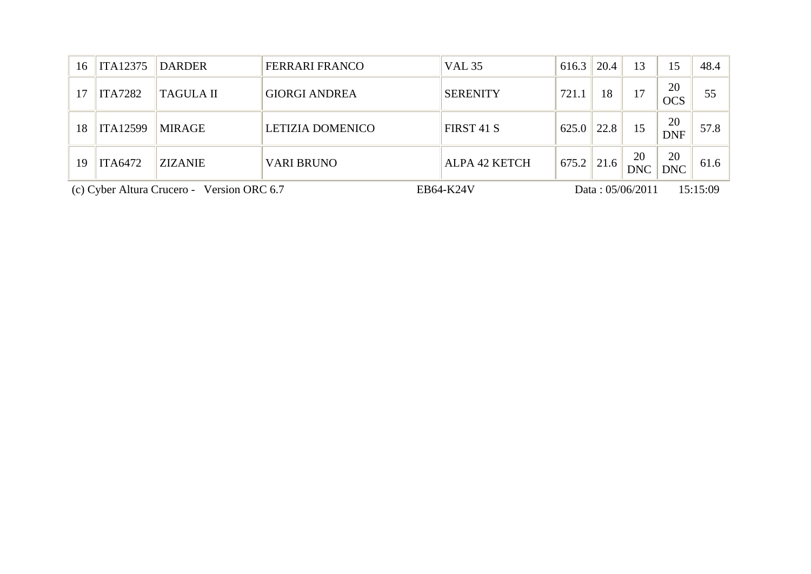| 16                                         | <b>ITA12375</b> | <b>DARDER</b>    | <b>FERRARI FRANCO</b>   | <b>VAL 35</b>    | 616.3 | 20.4 | 13               | 15               | 48.4     |
|--------------------------------------------|-----------------|------------------|-------------------------|------------------|-------|------|------------------|------------------|----------|
| 17                                         | <b>ITA7282</b>  | <b>TAGULA II</b> | <b>GIORGI ANDREA</b>    | <b>SERENITY</b>  | 721.1 | 18   | 17               | 20<br><b>OCS</b> | 55       |
| 18                                         | <b>ITA12599</b> | <b>MIRAGE</b>    | <b>LETIZIA DOMENICO</b> | FIRST 41 S       | 625.0 | 22.8 | 15               | 20<br><b>DNF</b> | 57.8     |
| 19                                         | <b>ITA6472</b>  | <b>ZIZANIE</b>   | <b>VARI BRUNO</b>       | ALPA 42 KETCH    | 675.2 | 21.6 | 20<br><b>DNC</b> | 20<br><b>DNC</b> | 61.6     |
| (c) Cyber Altura Crucero - Version ORC 6.7 |                 |                  |                         | <b>EB64-K24V</b> |       |      | Data: 05/06/2011 |                  | 15:15:09 |